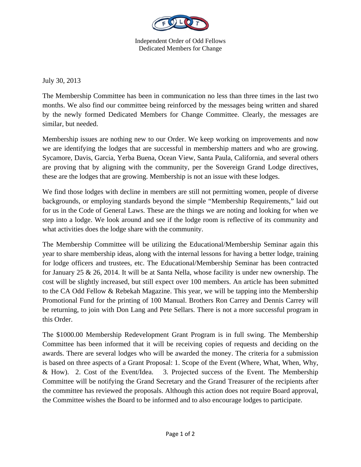

Independent Order of Odd Fellows Dedicated Members for Change

July 30, 2013

The Membership Committee has been in communication no less than three times in the last two months. We also find our committee being reinforced by the messages being written and shared by the newly formed Dedicated Members for Change Committee. Clearly, the messages are similar, but needed.

Membership issues are nothing new to our Order. We keep working on improvements and now we are identifying the lodges that are successful in membership matters and who are growing. Sycamore, Davis, Garcia, Yerba Buena, Ocean View, Santa Paula, California, and several others are proving that by aligning with the community, per the Sovereign Grand Lodge directives, these are the lodges that are growing. Membership is not an issue with these lodges.

We find those lodges with decline in members are still not permitting women, people of diverse backgrounds, or employing standards beyond the simple "Membership Requirements," laid out for us in the Code of General Laws. These are the things we are noting and looking for when we step into a lodge. We look around and see if the lodge room is reflective of its community and what activities does the lodge share with the community.

The Membership Committee will be utilizing the Educational/Membership Seminar again this year to share membership ideas, along with the internal lessons for having a better lodge, training for lodge officers and trustees, etc. The Educational/Membership Seminar has been contracted for January 25 & 26, 2014. It will be at Santa Nella, whose facility is under new ownership. The cost will be slightly increased, but still expect over 100 members. An article has been submitted to the CA Odd Fellow & Rebekah Magazine. This year, we will be tapping into the Membership Promotional Fund for the printing of 100 Manual. Brothers Ron Carrey and Dennis Carrey will be returning, to join with Don Lang and Pete Sellars. There is not a more successful program in this Order.

The \$1000.00 Membership Redevelopment Grant Program is in full swing. The Membership Committee has been informed that it will be receiving copies of requests and deciding on the awards. There are several lodges who will be awarded the money. The criteria for a submission is based on three aspects of a Grant Proposal: 1. Scope of the Event (Where, What, When, Why, & How). 2. Cost of the Event/Idea. 3. Projected success of the Event. The Membership Committee will be notifying the Grand Secretary and the Grand Treasurer of the recipients after the committee has reviewed the proposals. Although this action does not require Board approval, the Committee wishes the Board to be informed and to also encourage lodges to participate.